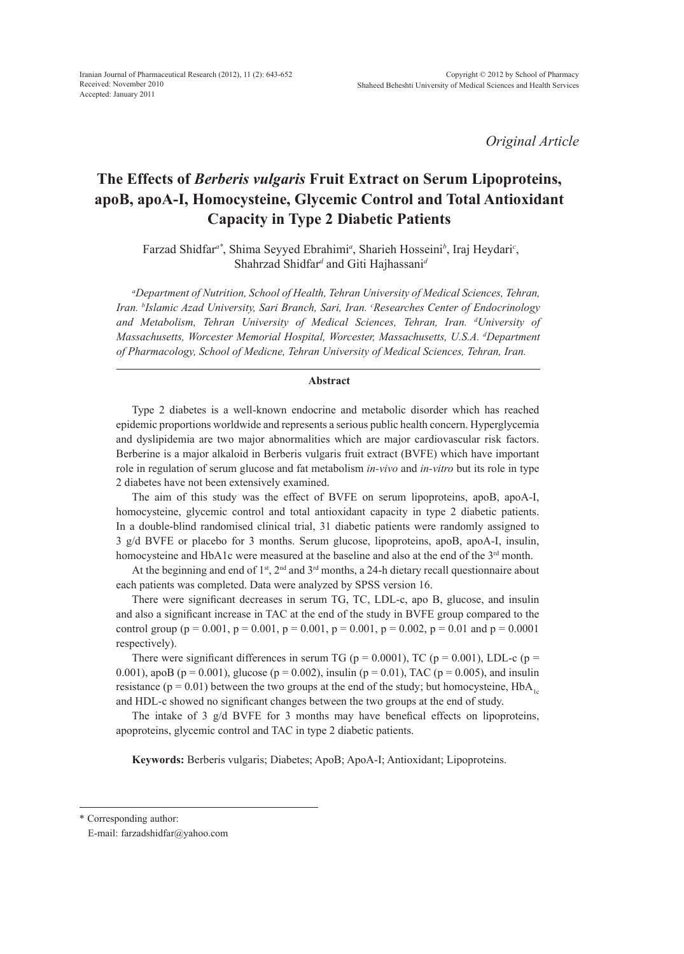*Original Article*

# **The Effects of** *Berberis vulgaris* **Fruit Extract on Serum Lipoproteins, apoB, apoA-I, Homocysteine, Glycemic Control and Total Antioxidant Capacity in Type 2 Diabetic Patients**

Farzad Shidfar*a\**, Shima Seyyed Ebrahimi*<sup>a</sup>* , Sharieh Hosseini*<sup>b</sup>* , Iraj Heydari*<sup>c</sup>* , Shahrzad Shidfar<sup>d</sup> and Giti Hajhassani<sup>d</sup>

*a Department of Nutrition, School of Health, Tehran University of Medical Sciences, Tehran,*  Iran. <sup>b</sup>Islamic Azad University, Sari Branch, Sari, Iran. <sup>c</sup>Researches Center of Endocrinology *and Metabolism, Tehran University of Medical Sciences, Tehran, Iran. d University of Massachusetts, Worcester Memorial Hospital, Worcester, Massachusetts, U.S.A. d Department of Pharmacology, School of Medicne, Tehran University of Medical Sciences, Tehran, Iran.*

#### **Abstract**

Type 2 diabetes is a well-known endocrine and metabolic disorder which has reached epidemic proportions worldwide and represents a serious public health concern. Hyperglycemia and dyslipidemia are two major abnormalities which are major cardiovascular risk factors. Berberine is a major alkaloid in Berberis vulgaris fruit extract (BVFE) which have important role in regulation of serum glucose and fat metabolism *in-vivo* and *in-vitro* but its role in type 2 diabetes have not been extensively examined.

The aim of this study was the effect of BVFE on serum lipoproteins, apoB, apoA-I, homocysteine, glycemic control and total antioxidant capacity in type 2 diabetic patients. In a double-blind randomised clinical trial, 31 diabetic patients were randomly assigned to 3 g/d BVFE or placebo for 3 months. Serum glucose, lipoproteins, apoB, apoA-I, insulin, homocysteine and HbA1c were measured at the baseline and also at the end of the 3<sup>rd</sup> month.

At the beginning and end of  $1<sup>st</sup>$ ,  $2<sup>nd</sup>$  and  $3<sup>rd</sup>$  months, a 24-h dietary recall questionnaire about each patients was completed. Data were analyzed by SPSS version 16.

There were significant decreases in serum TG, TC, LDL-c, apo B, glucose, and insulin and also a significant increase in TAC at the end of the study in BVFE group compared to the control group ( $p = 0.001$ ,  $p = 0.001$ ,  $p = 0.001$ ,  $p = 0.001$ ,  $p = 0.002$ ,  $p = 0.01$  and  $p = 0.0001$ respectively).

There were significant differences in serum TG ( $p = 0.0001$ ), TC ( $p = 0.001$ ), LDL-c ( $p =$ 0.001), apoB ( $p = 0.001$ ), glucose ( $p = 0.002$ ), insulin ( $p = 0.01$ ), TAC ( $p = 0.005$ ), and insulin resistance ( $p = 0.01$ ) between the two groups at the end of the study; but homocysteine, HbA<sub>1c</sub> and HDL-c showed no significant changes between the two groups at the end of study.

The intake of 3 g/d BVFE for 3 months may have benefical effects on lipoproteins, apoproteins, glycemic control and TAC in type 2 diabetic patients.

**Keywords:** Berberis vulgaris; Diabetes; ApoB; ApoA-I; Antioxidant; Lipoproteins.

\* Corresponding author:

E-mail: farzadshidfar@yahoo.com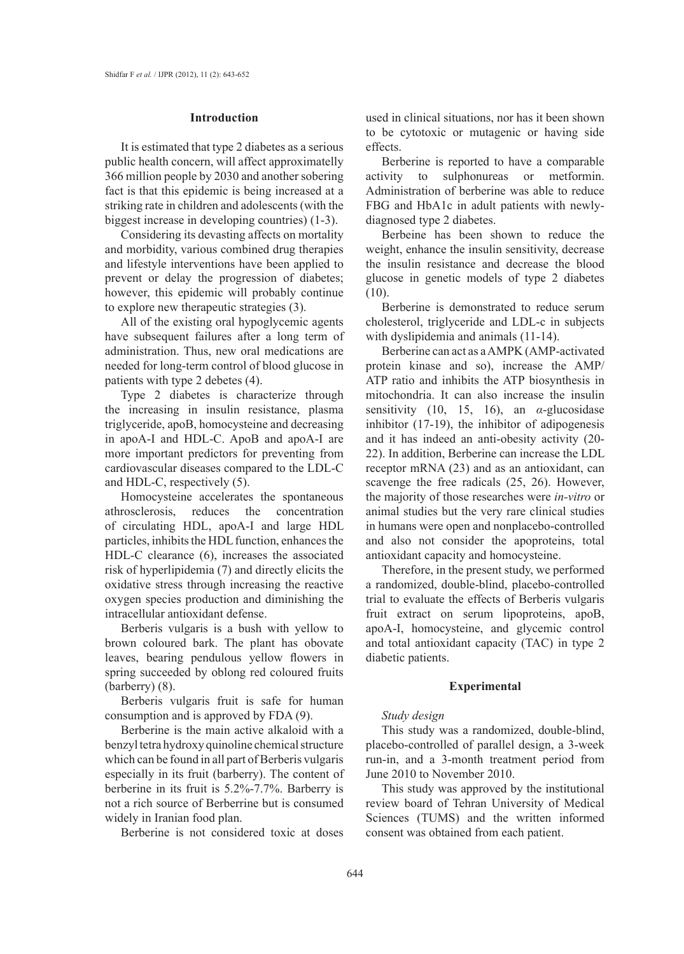#### **Introduction**

It is estimated that type 2 diabetes as a serious public health concern, will affect approximatelly 366 million people by 2030 and another sobering fact is that this epidemic is being increased at a striking rate in children and adolescents (with the biggest increase in developing countries) (1-3).

Considering its devasting affects on mortality and morbidity, various combined drug therapies and lifestyle interventions have been applied to prevent or delay the progression of diabetes; however, this epidemic will probably continue to explore new therapeutic strategies (3).

All of the existing oral hypoglycemic agents have subsequent failures after a long term of administration. Thus, new oral medications are needed for long-term control of blood glucose in patients with type 2 debetes (4).

Type 2 diabetes is characterize through the increasing in insulin resistance, plasma triglyceride, apoB, homocysteine and decreasing in apoA-I and HDL-C. ApoB and apoA-I are more important predictors for preventing from cardiovascular diseases compared to the LDL-C and HDL-C, respectively (5).

Homocysteine accelerates the spontaneous athrosclerosis, reduces the concentration of circulating HDL, apoA-I and large HDL particles, inhibits the HDL function, enhances the HDL-C clearance (6), increases the associated risk of hyperlipidemia (7) and directly elicits the oxidative stress through increasing the reactive oxygen species production and diminishing the intracellular antioxidant defense.

Berberis vulgaris is a bush with yellow to brown coloured bark. The plant has obovate leaves, bearing pendulous yellow flowers in spring succeeded by oblong red coloured fruits (barberry) (8).

Berberis vulgaris fruit is safe for human consumption and is approved by FDA (9).

Berberine is the main active alkaloid with a benzyl tetra hydroxy quinoline chemical structure which can be found in all part of Berberis vulgaris especially in its fruit (barberry). The content of berberine in its fruit is 5.2%-7.7%. Barberry is not a rich source of Berberrine but is consumed widely in Iranian food plan.

Berberine is not considered toxic at doses

used in clinical situations, nor has it been shown to be cytotoxic or mutagenic or having side effects.

Berberine is reported to have a comparable activity to sulphonureas or metformin. Administration of berberine was able to reduce FBG and HbA1c in adult patients with newlydiagnosed type 2 diabetes.

Berbeine has been shown to reduce the weight, enhance the insulin sensitivity, decrease the insulin resistance and decrease the blood glucose in genetic models of type 2 diabetes (10).

Berberine is demonstrated to reduce serum cholesterol, triglyceride and LDL-c in subjects with dyslipidemia and animals (11-14).

Berberine can act as a AMPK (AMP-activated protein kinase and so), increase the AMP/ ATP ratio and inhibits the ATP biosynthesis in mitochondria. It can also increase the insulin sensitivity (10, 15, 16), an *α*-glucosidase inhibitor (17-19), the inhibitor of adipogenesis and it has indeed an anti-obesity activity (20- 22). In addition, Berberine can increase the LDL receptor mRNA (23) and as an antioxidant, can scavenge the free radicals (25, 26). However, the majority of those researches were *in-vitro* or animal studies but the very rare clinical studies in humans were open and nonplacebo-controlled and also not consider the apoproteins, total antioxidant capacity and homocysteine.

Therefore, in the present study, we performed a randomized, double-blind, placebo-controlled trial to evaluate the effects of Berberis vulgaris fruit extract on serum lipoproteins, apoB, apoA-I, homocysteine, and glycemic control and total antioxidant capacity (TAC) in type 2 diabetic patients.

#### **Experimental**

## *Study design*

This study was a randomized, double-blind, placebo-controlled of parallel design, a 3-week run-in, and a 3-month treatment period from June 2010 to November 2010.

This study was approved by the institutional review board of Tehran University of Medical Sciences (TUMS) and the written informed consent was obtained from each patient.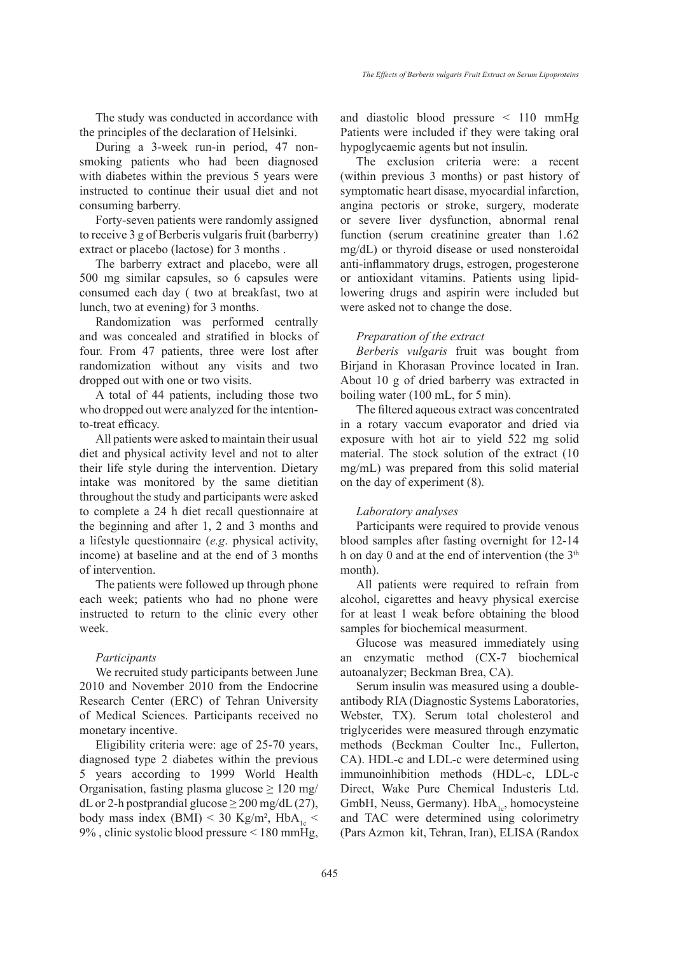The study was conducted in accordance with the principles of the declaration of Helsinki.

During a 3-week run-in period, 47 nonsmoking patients who had been diagnosed with diabetes within the previous 5 years were instructed to continue their usual diet and not consuming barberry.

Forty-seven patients were randomly assigned to receive 3 g of Berberis vulgaris fruit (barberry) extract or placebo (lactose) for 3 months .

The barberry extract and placebo, were all 500 mg similar capsules, so 6 capsules were consumed each day ( two at breakfast, two at lunch, two at evening) for 3 months.

Randomization was performed centrally and was concealed and stratified in blocks of four. From 47 patients, three were lost after randomization without any visits and two dropped out with one or two visits.

A total of 44 patients, including those two who dropped out were analyzed for the intentionto-treat efficacy.

All patients were asked to maintain their usual diet and physical activity level and not to alter their life style during the intervention. Dietary intake was monitored by the same dietitian throughout the study and participants were asked to complete a 24 h diet recall questionnaire at the beginning and after 1, 2 and 3 months and a lifestyle questionnaire (*e.g*. physical activity, income) at baseline and at the end of 3 months of intervention.

The patients were followed up through phone each week; patients who had no phone were instructed to return to the clinic every other week.

### *Participants*

We recruited study participants between June 2010 and November 2010 from the Endocrine Research Center (ERC) of Tehran University of Medical Sciences. Participants received no monetary incentive.

Eligibility criteria were: age of 25-70 years, diagnosed type 2 diabetes within the previous 5 years according to 1999 World Health Organisation, fasting plasma glucose  $\geq 120$  mg/ dL or 2-h postprandial glucose  $\geq$  200 mg/dL (27), body mass index (BMI) < 30 Kg/m<sup>2</sup>, HbA<sub>1c</sub> < 9% , clinic systolic blood pressure < 180 mmHg,

and diastolic blood pressure < 110 mmHg Patients were included if they were taking oral hypoglycaemic agents but not insulin.

The exclusion criteria were: a recent (within previous 3 months) or past history of symptomatic heart disase, myocardial infarction, angina pectoris or stroke, surgery, moderate or severe liver dysfunction, abnormal renal function (serum creatinine greater than 1.62 mg/dL) or thyroid disease or used nonsteroidal anti-inflammatory drugs, estrogen, progesterone or antioxidant vitamins. Patients using lipidlowering drugs and aspirin were included but were asked not to change the dose.

#### *Preparation of the extract*

*Berberis vulgaris* fruit was bought from Birjand in Khorasan Province located in Iran. About 10 g of dried barberry was extracted in boiling water (100 mL, for 5 min).

The filtered aqueous extract was concentrated in a rotary vaccum evaporator and dried via exposure with hot air to yield 522 mg solid material. The stock solution of the extract (10 mg/mL) was prepared from this solid material on the day of experiment (8).

#### *Laboratory analyses*

Participants were required to provide venous blood samples after fasting overnight for 12-14 h on day 0 and at the end of intervention (the  $3<sup>th</sup>$ month).

All patients were required to refrain from alcohol, cigarettes and heavy physical exercise for at least 1 weak before obtaining the blood samples for biochemical measurment.

Glucose was measured immediately using an enzymatic method (CX-7 biochemical autoanalyzer; Beckman Brea, CA).

Serum insulin was measured using a doubleantibody RIA (Diagnostic Systems Laboratories, Webster, TX). Serum total cholesterol and triglycerides were measured through enzymatic methods (Beckman Coulter Inc., Fullerton, CA). HDL-c and LDL-c were determined using immunoinhibition methods (HDL-c, LDL-c Direct, Wake Pure Chemical Industeris Ltd. GmbH, Neuss, Germany).  $HbA_{1c}$ , homocysteine and TAC were determined using colorimetry (Pars Azmon kit, Tehran, Iran), ELISA (Randox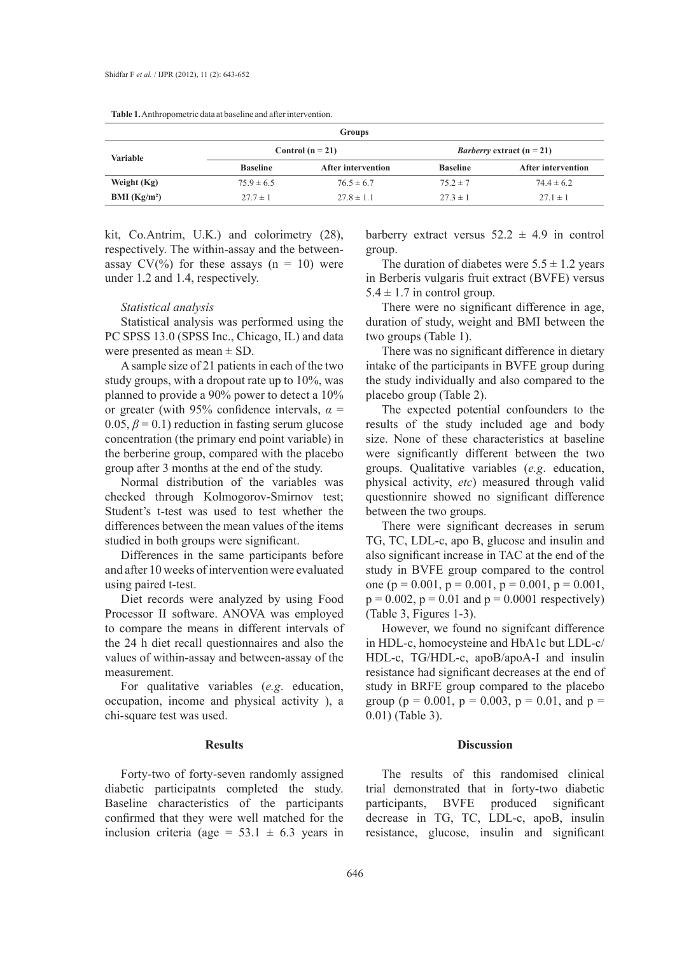| Groups                   |                 |                           |                                    |                           |  |  |  |
|--------------------------|-----------------|---------------------------|------------------------------------|---------------------------|--|--|--|
| <b>Variable</b>          |                 | Control $(n = 21)$        | <i>Barberry</i> extract $(n = 21)$ |                           |  |  |  |
|                          | <b>Baseline</b> | <b>After intervention</b> | <b>Baseline</b>                    | <b>After intervention</b> |  |  |  |
| Weight (Kg)              | $75.9 \pm 6.5$  | $76.5 \pm 6.7$            | $75.2 \pm 7$                       | $74.4 \pm 6.2$            |  |  |  |
| BMI (Kg/m <sup>2</sup> ) | $27.7 \pm 1$    | $27.8 \pm 1.1$            | $27.3 \pm 1$                       | $27.1 \pm 1$              |  |  |  |

**Table 1.** Anthropometric data at baseline and after intervention.

kit, Co.Antrim, U.K.) and colorimetry (28), respectively. The within-assay and the betweenassay  $CV(%)$  for these assays  $(n = 10)$  were under 1.2 and 1.4, respectively.

#### *Statistical analysis*

Statistical analysis was performed using the PC SPSS 13.0 (SPSS Inc., Chicago, IL) and data were presented as mean  $\pm$  SD.

A sample size of 21 patients in each of the two study groups, with a dropout rate up to 10%, was planned to provide a 90% power to detect a 10% or greater (with 95% confidence intervals,  $\alpha$  =  $0.05, \beta = 0.1$ ) reduction in fasting serum glucose concentration (the primary end point variable) in the berberine group, compared with the placebo group after 3 months at the end of the study.

Normal distribution of the variables was checked through Kolmogorov-Smirnov test; Student's t-test was used to test whether the differences between the mean values of the items studied in both groups were significant.

Differences in the same participants before and after 10 weeks of intervention were evaluated using paired t-test.

Diet records were analyzed by using Food Processor II software. ANOVA was employed to compare the means in different intervals of the 24 h diet recall questionnaires and also the values of within-assay and between-assay of the measurement.

For qualitative variables (*e.g*. education, occupation, income and physical activity ), a chi-square test was used.

## **Results**

Forty-two of forty-seven randomly assigned diabetic participatnts completed the study. Baseline characteristics of the participants confirmed that they were well matched for the inclusion criteria (age =  $53.1 \pm 6.3$  years in

barberry extract versus  $52.2 \pm 4.9$  in control group.

The duration of diabetes were  $5.5 \pm 1.2$  years in Berberis vulgaris fruit extract (BVFE) versus  $5.4 \pm 1.7$  in control group.

There were no significant difference in age, duration of study, weight and BMI between the two groups (Table 1).

There was no significant difference in dietary intake of the participants in BVFE group during the study individually and also compared to the placebo group (Table 2).

The expected potential confounders to the results of the study included age and body size. None of these characteristics at baseline were significantly different between the two groups. Qualitative variables (*e.g*. education, physical activity, *etc*) measured through valid questionnire showed no significant difference between the two groups.

There were significant decreases in serum TG, TC, LDL-c, apo B, glucose and insulin and also significant increase in TAC at the end of the study in BVFE group compared to the control one ( $p = 0.001$ ,  $p = 0.001$ ,  $p = 0.001$ ,  $p = 0.001$ ,  $p = 0.002$ ,  $p = 0.01$  and  $p = 0.0001$  respectively) (Table 3, Figures 1-3).

However, we found no signifcant difference in HDL-c, homocysteine and HbA1c but LDL-c/ HDL-c, TG/HDL-c, apoB/apoA-I and insulin resistance had significant decreases at the end of study in BRFE group compared to the placebo group ( $p = 0.001$ ,  $p = 0.003$ ,  $p = 0.01$ , and  $p =$ 0.01) (Table 3).

## **Discussion**

The results of this randomised clinical trial demonstrated that in forty-two diabetic participants, BVFE produced significant decrease in TG, TC, LDL-c, apoB, insulin resistance, glucose, insulin and significant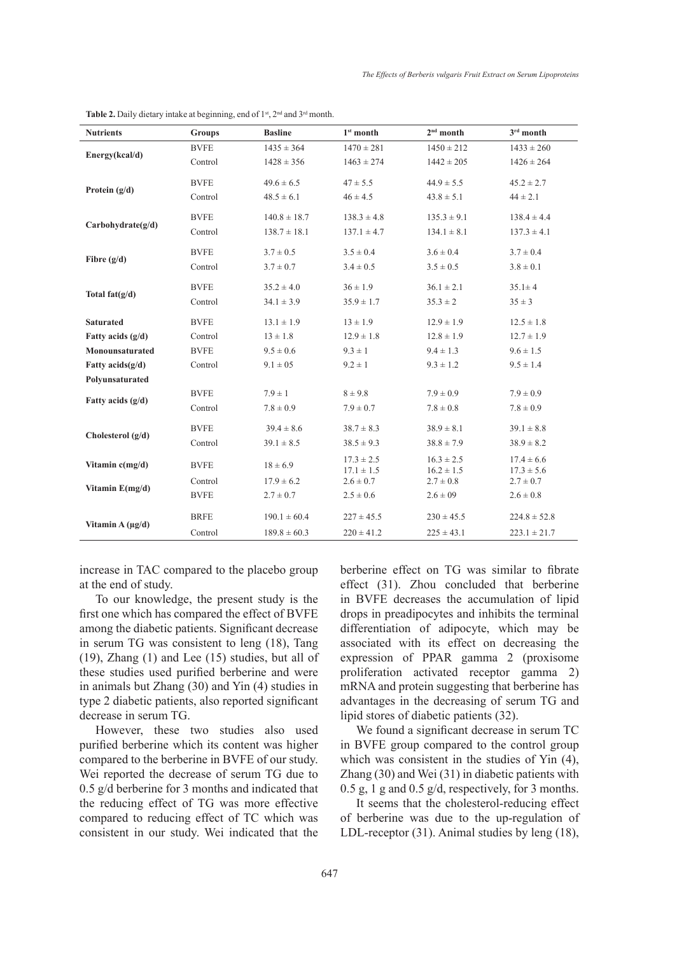| <b>Nutrients</b>      | <b>Groups</b> | <b>Basline</b>   | $1st$ month                      | $2nd$ month                      | $3rd$ month                      |
|-----------------------|---------------|------------------|----------------------------------|----------------------------------|----------------------------------|
| Energy(kcal/d)        | <b>BVFE</b>   | $1435 \pm 364$   | $1470 \pm 281$                   | $1450 \pm 212$                   | $1433 \pm 260$                   |
|                       | Control       | $1428 \pm 356$   | $1463 \pm 274$                   | $1442 \pm 205$                   | $1426 \pm 264$                   |
| Protein $(g/d)$       | <b>BVFE</b>   | $49.6 \pm 6.5$   | $47 \pm 5.5$                     | $44.9 \pm 5.5$                   | $45.2 \pm 2.7$                   |
|                       | Control       | $48.5 \pm 6.1$   | $46 \pm 4.5$                     | $43.8 \pm 5.1$                   | $44 \pm 2.1$                     |
| Carbohydrate(g/d)     | <b>BVFE</b>   | $140.8 \pm 18.7$ | $138.3 \pm 4.8$                  | $135.3 \pm 9.1$                  | $138.4 \pm 4.4$                  |
|                       | Control       | $138.7 \pm 18.1$ | $137.1 \pm 4.7$                  | $134.1 \pm 8.1$                  | $137.3 \pm 4.1$                  |
| Fibre $(g/d)$         | <b>BVFE</b>   | $3.7 \pm 0.5$    | $3.5 \pm 0.4$                    | $3.6 \pm 0.4$                    | $3.7 \pm 0.4$                    |
|                       | Control       | $3.7 \pm 0.7$    | $3.4 \pm 0.5$                    | $3.5 \pm 0.5$                    | $3.8 \pm 0.1$                    |
| Total $fat(g/d)$      | <b>BVFE</b>   | $35.2 \pm 4.0$   | $36 \pm 1.9$                     | $36.1 \pm 2.1$                   | $35.1 \pm 4$                     |
|                       | Control       | $34.1 \pm 3.9$   | $35.9 \pm 1.7$                   | $35.3 \pm 2$                     | $35 \pm 3$                       |
| <b>Saturated</b>      | <b>BVFE</b>   | $13.1 \pm 1.9$   | $13 \pm 1.9$                     | $12.9 \pm 1.9$                   | $12.5 \pm 1.8$                   |
| Fatty acids $(g/d)$   | Control       | $13 \pm 1.8$     | $12.9 \pm 1.8$                   | $12.8 \pm 1.9$                   | $12.7 \pm 1.9$                   |
| Monounsaturated       | <b>BVFE</b>   | $9.5 \pm 0.6$    | $9.3 \pm 1$                      | $9.4 \pm 1.3$                    | $9.6 \pm 1.5$                    |
| Fatty $acids(g/d)$    | Control       | $9.1 \pm 0.5$    | $9.2 \pm 1$                      | $9.3 \pm 1.2$                    | $9.5 \pm 1.4$                    |
| Polyunsaturated       |               |                  |                                  |                                  |                                  |
| Fatty acids $(g/d)$   | <b>BVFE</b>   | $7.9 \pm 1$      | $8 \pm 9.8$                      | $7.9 \pm 0.9$                    | $7.9 \pm 0.9$                    |
|                       | Control       | $7.8 \pm 0.9$    | $7.9 \pm 0.7$                    | $7.8 \pm 0.8$                    | $7.8 \pm 0.9$                    |
| Cholesterol $(g/d)$   | <b>BVFE</b>   | $39.4 \pm 8.6$   | $38.7 \pm 8.3$                   | $38.9 \pm 8.1$                   | $39.1 \pm 8.8$                   |
|                       | Control       | $39.1 \pm 8.5$   | $38.5 \pm 9.3$                   | $38.8 \pm 7.9$                   | $38.9 \pm 8.2$                   |
| Vitamin $c(mg/d)$     | <b>BVFE</b>   | $18 \pm 6.9$     | $17.3 \pm 2.5$<br>$17.1 \pm 1.5$ | $16.3 \pm 2.5$<br>$16.2 \pm 1.5$ | $17.4 \pm 6.6$<br>$17.3 \pm 5.6$ |
| Vitamin $E(mg/d)$     | Control       | $17.9 \pm 6.2$   | $2.6 \pm 0.7$                    | $2.7 \pm 0.8$                    | $2.7 \pm 0.7$                    |
|                       | <b>BVFE</b>   | $2.7 \pm 0.7$    | $2.5 \pm 0.6$                    | $2.6 \pm 09$                     | $2.6 \pm 0.8$                    |
| Vitamin A $(\mu g/d)$ | <b>BRFE</b>   | $190.1 \pm 60.4$ | $227 \pm 45.5$                   | $230 \pm 45.5$                   | $224.8 \pm 52.8$                 |
|                       | Control       | $189.8 \pm 60.3$ | $220 \pm 41.2$                   | $225 \pm 43.1$                   | $223.1 \pm 21.7$                 |

Table 2. Daily dietary intake at beginning, end of 1<sup>st</sup>, 2<sup>nd</sup> and 3<sup>rd</sup> month.

increase in TAC compared to the placebo group at the end of study.

To our knowledge, the present study is the first one which has compared the effect of BVFE among the diabetic patients. Significant decrease in serum TG was consistent to leng (18), Tang (19), Zhang (1) and Lee (15) studies, but all of these studies used purified berberine and were in animals but Zhang (30) and Yin (4) studies in type 2 diabetic patients, also reported significant decrease in serum TG.

However, these two studies also used purified berberine which its content was higher compared to the berberine in BVFE of our study. Wei reported the decrease of serum TG due to 0.5 g/d berberine for 3 months and indicated that the reducing effect of TG was more effective compared to reducing effect of TC which was consistent in our study. Wei indicated that the berberine effect on TG was similar to fibrate effect (31). Zhou concluded that berberine in BVFE decreases the accumulation of lipid drops in preadipocytes and inhibits the terminal differentiation of adipocyte, which may be associated with its effect on decreasing the expression of PPAR gamma 2 (proxisome proliferation activated receptor gamma 2) mRNA and protein suggesting that berberine has advantages in the decreasing of serum TG and lipid stores of diabetic patients (32).

We found a significant decrease in serum TC in BVFE group compared to the control group which was consistent in the studies of Yin (4), Zhang (30) and Wei (31) in diabetic patients with 0.5 g, 1 g and 0.5 g/d, respectively, for 3 months.

It seems that the cholesterol-reducing effect of berberine was due to the up-regulation of LDL-receptor (31). Animal studies by leng (18),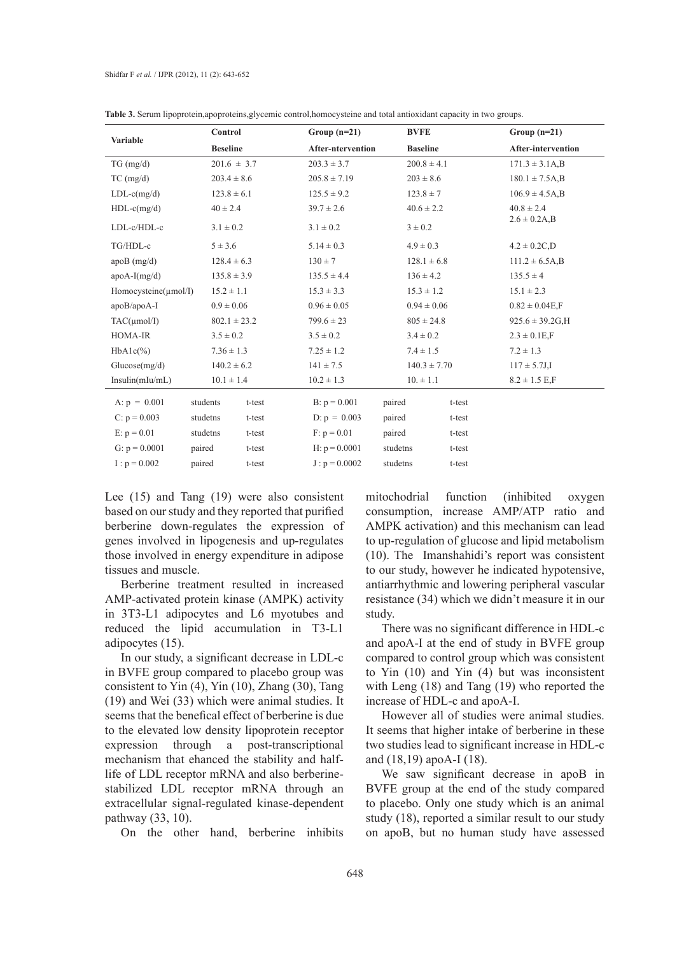|                           | Control         |                  | Group $(n=21)$           |          | <b>BVFE</b>      | Group $(n=21)$                |
|---------------------------|-----------------|------------------|--------------------------|----------|------------------|-------------------------------|
| Variable                  | <b>Beseline</b> |                  | <b>After-ntervention</b> |          | <b>Baseline</b>  | <b>After-intervention</b>     |
| TG (mg/d)                 |                 | $201.6 \pm 3.7$  | $203.3 \pm 3.7$          |          | $200.8 \pm 4.1$  | $171.3 \pm 3.1A$ <sub>B</sub> |
| $TC$ (mg/d)               | $203.4 \pm 8.6$ |                  | $205.8 \pm 7.19$         |          | $203 \pm 8.6$    | $180.1 \pm 7.5A$ <sub>B</sub> |
| $LDL-c(mg/d)$             | $123.8 \pm 6.1$ |                  | $125.5 \pm 9.2$          |          | $123.8 \pm 7$    | $106.9 \pm 4.5$ A,B           |
| $HDL-c(mg/d)$             | $40 \pm 2.4$    |                  | $39.7 \pm 2.6$           |          | $40.6 \pm 2.2$   | $40.8 \pm 2.4$                |
| LDL-c/HDL-c               | $3.1 \pm 0.2$   |                  | $3.1 \pm 0.2$            |          | $3 \pm 0.2$      | $2.6 \pm 0.2$ A,B             |
| TG/HDL-c                  | $5 \pm 3.6$     |                  | $5.14 \pm 0.3$           |          | $4.9 \pm 0.3$    | $4.2 \pm 0.2 C, D$            |
| $apoB$ (mg/d)             | $128.4 \pm 6.3$ |                  | $130 \pm 7$              |          | $128.1 \pm 6.8$  | $111.2 \pm 6.5A$ , B          |
| $apoA-I(mg/d)$            | $135.8 \pm 3.9$ |                  | $135.5 \pm 4.4$          |          | $136 \pm 4.2$    | $135.5 \pm 4$                 |
| $Homocysteine(\mu mol/I)$ | $15.2 \pm 1.1$  |                  | $15.3 \pm 3.3$           |          | $15.3 \pm 1.2$   | $15.1 \pm 2.3$                |
| apoB/apoA-I               | $0.9 \pm 0.06$  |                  | $0.96 \pm 0.05$          |          | $0.94 \pm 0.06$  | $0.82 \pm 0.04E$ ,F           |
| $TAC(\mu mol/I)$          |                 | $802.1 \pm 23.2$ | $799.6 \pm 23$           |          | $805 \pm 24.8$   | $925.6 \pm 39.2$ G, H         |
| <b>HOMA-IR</b>            | $3.5 \pm 0.2$   |                  | $3.5 \pm 0.2$            |          | $3.4 \pm 0.2$    | $2.3 \pm 0.1E$ ,F             |
| $HbA1c(\%)$               | $7.36 \pm 1.3$  |                  | $7.25 \pm 1.2$           |          | $7.4 \pm 1.5$    | $7.2 \pm 1.3$                 |
| Glucose(mg/d)             | $140.2 \pm 6.2$ |                  | $141 \pm 7.5$            |          | $140.3 \pm 7.70$ | $117 \pm 5.7$ J,I             |
| Insulin(mIu/mL)           | $10.1 \pm 1.4$  |                  | $10.2 \pm 1.3$           |          | $10. \pm 1.1$    | $8.2 \pm 1.5$ E,F             |
| A: $p = 0.001$            | students        | t-test           | $B: p = 0.001$           | paired   | t-test           |                               |
| C: $p = 0.003$            | studetns        | t-test           | $D: p = 0.003$           | paired   | t-test           |                               |
| E: $p = 0.01$             | studetns        | t-test           | $F: p = 0.01$            | paired   | t-test           |                               |
| G: $p = 0.0001$           | paired          | t-test           | H: $p = 0.0001$          | studetns | t-test           |                               |
| $I: p = 0.002$            | paired          | t-test           | $J : p = 0.0002$         | studetns | t-test           |                               |

**Table 3.** Serum lipoprotein,apoproteins,glycemic control,homocysteine and total antioxidant capacity in two groups.

Lee (15) and Tang (19) were also consistent based on our study and they reported that purified berberine down-regulates the expression of genes involved in lipogenesis and up-regulates those involved in energy expenditure in adipose tissues and muscle.

Berberine treatment resulted in increased AMP-activated protein kinase (AMPK) activity in 3T3-L1 adipocytes and L6 myotubes and reduced the lipid accumulation in T3-L1 adipocytes (15).

In our study, a significant decrease in LDL-c in BVFE group compared to placebo group was consistent to Yin (4), Yin (10), Zhang (30), Tang (19) and Wei (33) which were animal studies. It seems that the benefical effect of berberine is due to the elevated low density lipoprotein receptor expression through a post-transcriptional mechanism that ehanced the stability and halflife of LDL receptor mRNA and also berberinestabilized LDL receptor mRNA through an extracellular signal-regulated kinase-dependent pathway (33, 10).

On the other hand, berberine inhibits

mitochodrial function (inhibited oxygen consumption, increase AMP/ATP ratio and AMPK activation) and this mechanism can lead to up-regulation of glucose and lipid metabolism (10). The Imanshahidi's report was consistent to our study, however he indicated hypotensive, antiarrhythmic and lowering peripheral vascular resistance (34) which we didn't measure it in our study.

There was no significant difference in HDL-c and apoA-I at the end of study in BVFE group compared to control group which was consistent to Yin (10) and Yin (4) but was inconsistent with Leng (18) and Tang (19) who reported the increase of HDL-c and apoA-I.

However all of studies were animal studies. It seems that higher intake of berberine in these two studies lead to significant increase in HDL-c and (18,19) apoA-I (18).

We saw significant decrease in apoB in BVFE group at the end of the study compared to placebo. Only one study which is an animal study (18), reported a similar result to our study on apoB, but no human study have assessed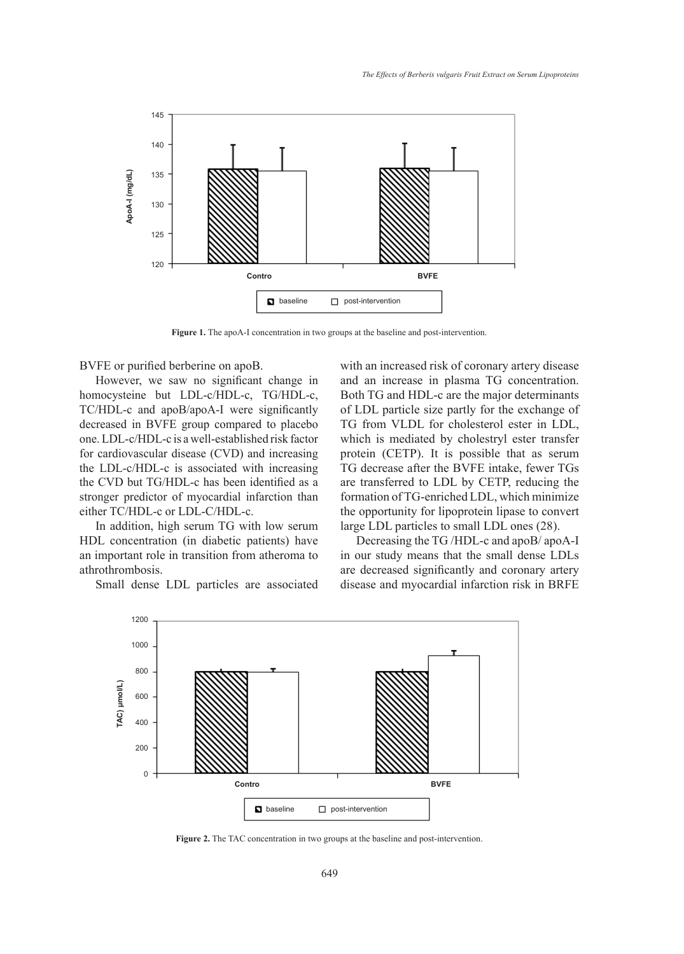

Figure 1. The apoA-I concentration in two groups at the baseline and post-intervention.

BVFE or purified berberine on apoB.

However, we saw no significant change in homocysteine but LDL-c/HDL-c, TG/HDL-c, TC/HDL-c and apoB/apoA-I were significantly decreased in BVFE group compared to placebo one. LDL-c/HDL-c is a well-established risk factor for cardiovascular disease (CVD) and increasing the LDL-c/HDL-c is associated with increasing the CVD but TG/HDL-c has been identified as a stronger predictor of myocardial infarction than either TC/HDL-c or LDL-C/HDL-c.

In addition, high serum TG with low serum HDL concentration (in diabetic patients) have an important role in transition from atheroma to athrothrombosis.

Small dense LDL particles are associated

with an increased risk of coronary artery disease and an increase in plasma TG concentration. Both TG and HDL-c are the major determinants of LDL particle size partly for the exchange of TG from VLDL for cholesterol ester in LDL, which is mediated by cholestryl ester transfer protein (CETP). It is possible that as serum TG decrease after the BVFE intake, fewer TGs are transferred to LDL by CETP, reducing the formation of TG-enriched LDL, which minimize the opportunity for lipoprotein lipase to convert large LDL particles to small LDL ones (28).

Decreasing the TG /HDL-c and apoB/ apoA-I in our study means that the small dense LDLs are decreased significantly and coronary artery disease and myocardial infarction risk in BRFE



**Figure 2.** The TAC concentration in two groups at the baseline and post-intervention.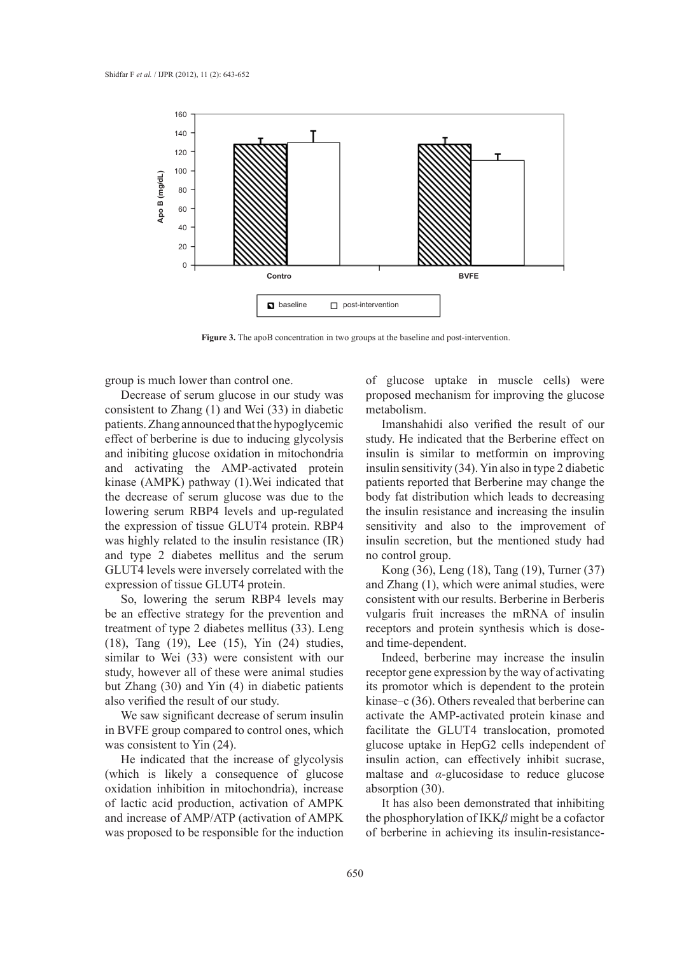

Figure 3. The apoB concentration in two groups at the baseline and post-intervention.

group is much lower than control one.

Decrease of serum glucose in our study was consistent to Zhang (1) and Wei (33) in diabetic patients. Zhang announced that the hypoglycemic effect of berberine is due to inducing glycolysis and inibiting glucose oxidation in mitochondria and activating the AMP-activated protein kinase (AMPK) pathway (1).Wei indicated that the decrease of serum glucose was due to the lowering serum RBP4 levels and up-regulated the expression of tissue GLUT4 protein. RBP4 was highly related to the insulin resistance (IR) and type 2 diabetes mellitus and the serum GLUT4 levels were inversely correlated with the expression of tissue GLUT4 protein.

So, lowering the serum RBP4 levels may be an effective strategy for the prevention and treatment of type 2 diabetes mellitus (33). Leng (18), Tang (19), Lee (15), Yin (24) studies, similar to Wei (33) were consistent with our study, however all of these were animal studies but Zhang (30) and Yin (4) in diabetic patients also verified the result of our study.

We saw significant decrease of serum insulin in BVFE group compared to control ones, which was consistent to Yin (24).

He indicated that the increase of glycolysis (which is likely a consequence of glucose oxidation inhibition in mitochondria), increase of lactic acid production, activation of AMPK and increase of AMP/ATP (activation of AMPK was proposed to be responsible for the induction of glucose uptake in muscle cells) were proposed mechanism for improving the glucose metabolism.

Imanshahidi also verified the result of our study. He indicated that the Berberine effect on insulin is similar to metformin on improving insulin sensitivity (34). Yin also in type 2 diabetic patients reported that Berberine may change the body fat distribution which leads to decreasing the insulin resistance and increasing the insulin sensitivity and also to the improvement of insulin secretion, but the mentioned study had no control group.

Kong (36), Leng (18), Tang (19), Turner (37) and Zhang (1), which were animal studies, were consistent with our results. Berberine in Berberis vulgaris fruit increases the mRNA of insulin receptors and protein synthesis which is doseand time-dependent.

Indeed, berberine may increase the insulin receptor gene expression by the way of activating its promotor which is dependent to the protein kinase–c (36). Others revealed that berberine can activate the AMP-activated protein kinase and facilitate the GLUT4 translocation, promoted glucose uptake in HepG2 cells independent of insulin action, can effectively inhibit sucrase, maltase and  $\alpha$ -glucosidase to reduce glucose absorption (30).

It has also been demonstrated that inhibiting the phosphorylation of IKK*β* might be a cofactor of berberine in achieving its insulin-resistance-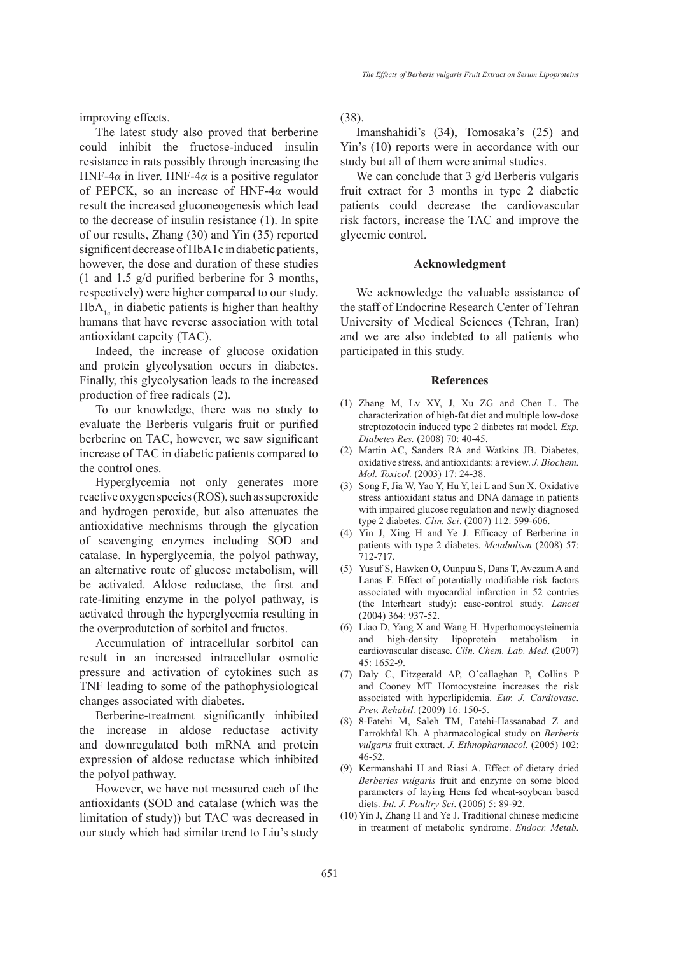*The Effects of Berberis vulgaris Fruit Extract on Serum Lipoproteins*

improving effects.

The latest study also proved that berberine could inhibit the fructose-induced insulin resistance in rats possibly through increasing the HNF-4 $\alpha$  in liver. HNF-4 $\alpha$  is a positive regulator of PEPCK, so an increase of HNF-4*α* would result the increased gluconeogenesis which lead to the decrease of insulin resistance (1). In spite of our results, Zhang (30) and Yin (35) reported significent decrease of HbA1c in diabetic patients, however, the dose and duration of these studies (1 and 1.5 g/d purified berberine for 3 months, respectively) were higher compared to our study.  $HbA<sub>1c</sub>$  in diabetic patients is higher than healthy humans that have reverse association with total antioxidant capcity (TAC).

Indeed, the increase of glucose oxidation and protein glycolysation occurs in diabetes. Finally, this glycolysation leads to the increased production of free radicals (2).

To our knowledge, there was no study to evaluate the Berberis vulgaris fruit or purified berberine on TAC, however, we saw significant increase of TAC in diabetic patients compared to the control ones.

Hyperglycemia not only generates more reactive oxygen species (ROS), such as superoxide and hydrogen peroxide, but also attenuates the antioxidative mechnisms through the glycation of scavenging enzymes including SOD and catalase. In hyperglycemia, the polyol pathway, an alternative route of glucose metabolism, will be activated. Aldose reductase, the first and rate-limiting enzyme in the polyol pathway, is activated through the hyperglycemia resulting in the overprodutction of sorbitol and fructos.

Accumulation of intracellular sorbitol can result in an increased intracellular osmotic pressure and activation of cytokines such as TNF leading to some of the pathophysiological changes associated with diabetes.

Berberine-treatment significantly inhibited the increase in aldose reductase activity and downregulated both mRNA and protein expression of aldose reductase which inhibited the polyol pathway.

However, we have not measured each of the antioxidants (SOD and catalase (which was the limitation of study)) but TAC was decreased in our study which had similar trend to Liu's study (38).

Imanshahidi's (34), Tomosaka's (25) and Yin's (10) reports were in accordance with our study but all of them were animal studies.

We can conclude that 3 g/d Berberis vulgaris fruit extract for 3 months in type 2 diabetic patients could decrease the cardiovascular risk factors, increase the TAC and improve the glycemic control.

#### **Acknowledgment**

We acknowledge the valuable assistance of the staff of Endocrine Research Center of Tehran University of Medical Sciences (Tehran, Iran) and we are also indebted to all patients who participated in this study.

#### **References**

- Zhang M, Lv XY, J, Xu ZG and Chen L. The (1) characterization of high-fat diet and multiple low-dose streptozotocin induced type 2 diabetes rat model*. Exp. Diabetes Res.* (2008) 70: 40-45.
- (2) Martin AC, Sanders RA and Watkins JB. Diabetes, oxidative stress, and antioxidants: a review. *J. Biochem. Mol. Toxicol.* (2003) 17: 24-38.
- (3) Song F, Jia W, Yao Y, Hu Y, lei L and Sun X. Oxidative stress antioxidant status and DNA damage in patients with impaired glucose regulation and newly diagnosed type 2 diabetes. *Clin. Sci*. (2007) 112: 599-606.
- Yin J, Xing H and Ye J. Efficacy of Berberine in (4) patients with type 2 diabetes. *Metabolism* (2008) 57: 712-717.
- (5) Yusuf S, Hawken O, Ounpuu S, Dans T, Avezum A and Lanas F. Effect of potentially modifiable risk factors associated with myocardial infarction in 52 contries (the Interheart study): case-control study. *Lancet* (2004) 364: 937-52.
- Liao D, Yang X and Wang H. Hyperhomocysteinemia (6) and high-density lipoprotein metabolism in cardiovascular disease. *Clin. Chem. Lab. Med.* (2007) 45: 1652-9.
- Daly C, Fitzgerald AP, O΄callaghan P, Collins P (7) and Cooney MT Homocysteine increases the risk associated with hyperlipidemia. *Eur. J. Cardiovasc. Prev. Rehabil.* (2009) 16: 150-5.
- 8-Fatehi M, Saleh TM, Fatehi-Hassanabad Z and (8) Farrokhfal Kh. A pharmacological study on *Berberis vulgaris* fruit extract. *J. Ethnopharmacol.* (2005) 102: 46-52.
- (9) Kermanshahi H and Riasi A. Effect of dietary dried *Berberies vulgaris* fruit and enzyme on some blood parameters of laying Hens fed wheat-soybean based diets. *Int. J. Poultry Sci*. (2006) 5: 89-92.
- $(10)$  Yin J, Zhang H and Ye J. Traditional chinese medicine in treatment of metabolic syndrome. *Endocr. Metab.*